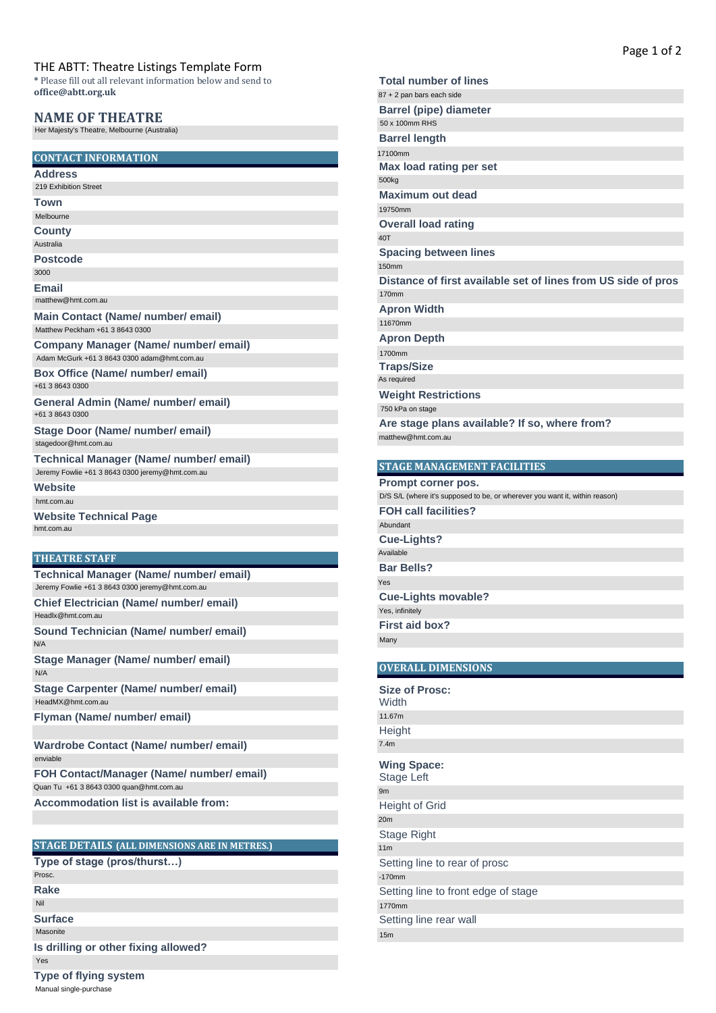#### THE ABTT: Theatre Listings Template Form

# **NAME OF THEATRE**<br>Her Majesty's Theatre, Melbourne (Australia)

# **CONTACT INFORMATION** Her Majesty's Theatre, Melbourne (Australia)<br>CONTACT INFORMATION<br>Address<br>219 Exhibition Street<br>Town<br>Melbourne<br>County<br>Australia

**Address**

**Town** Melbourne

**County**

**Postcode**

**Email** 3000

**Website**

hmt.com.au

# **THEATRE STAFF**

## **STAGE DETAILS (ALL DIMENSIONS ARE IN METRES.)**

**Rake** Prosc.

Nil

**Surface**

**Type of flying system**

Page 1 of 2

|                                                                                                          | Page 1 of 2                                                                 |
|----------------------------------------------------------------------------------------------------------|-----------------------------------------------------------------------------|
| THE ABTT: Theatre Listings Template Form<br>* Please fill out all relevant information below and send to | <b>Total number of lines</b>                                                |
| office@abtt.org.uk                                                                                       | 87 + 2 pan bars each side                                                   |
|                                                                                                          | <b>Barrel (pipe) diameter</b>                                               |
| <b>NAME OF THEATRE</b>                                                                                   | 50 x 100mm RHS                                                              |
| Her Majesty's Theatre, Melbourne (Australia)                                                             | <b>Barrel length</b>                                                        |
| <b>CONTACT INFORMATION</b>                                                                               | 17100mm                                                                     |
|                                                                                                          | Max load rating per set                                                     |
| Address<br>219 Exhibition Street                                                                         | 500kg                                                                       |
| Town                                                                                                     | Maximum out dead                                                            |
| Melbourne                                                                                                | 19750mm                                                                     |
| County                                                                                                   | <b>Overall load rating</b>                                                  |
| Australia                                                                                                | 40T                                                                         |
| Postcode                                                                                                 | <b>Spacing between lines</b>                                                |
| 3000                                                                                                     | <b>150mm</b>                                                                |
| Email                                                                                                    | Distance of first available set of lines from US side of pros<br>170mm      |
| matthew@hmt.com.au                                                                                       | <b>Apron Width</b>                                                          |
| Main Contact (Name/ number/ email)                                                                       | 11670mm                                                                     |
| Matthew Peckham +61 3 8643 0300                                                                          | <b>Apron Depth</b>                                                          |
| Company Manager (Name/ number/ email)                                                                    | 1700mm                                                                      |
| Adam McGurk +61 3 8643 0300 adam@hmt.com.au                                                              | <b>Traps/Size</b>                                                           |
| Box Office (Name/ number/ email)                                                                         | As required                                                                 |
| +61 3 8643 0300                                                                                          | <b>Weight Restrictions</b>                                                  |
| General Admin (Name/ number/ email)                                                                      | 750 kPa on stage                                                            |
| +61 3 8643 0300                                                                                          | Are stage plans available? If so, where from?                               |
| Stage Door (Name/ number/ email)                                                                         | matthew@hmt.com.au                                                          |
| stagedoor@hmt.com.au                                                                                     |                                                                             |
| Technical Manager (Name/ number/ email)<br>Jeremy Fowlie +61 3 8643 0300 jeremy@hmt.com.au               | <b>STAGE MANAGEMENT FACILITIES</b>                                          |
| Website                                                                                                  | Prompt corner pos.                                                          |
| hmt.com.au                                                                                               | D/S S/L (where it's supposed to be, or wherever you want it, within reason) |
| Website Technical Page                                                                                   | <b>FOH call facilities?</b>                                                 |
| hmt.com.au                                                                                               | Abundant                                                                    |
|                                                                                                          | <b>Cue-Lights?</b>                                                          |
| <b>THEATRE STAFF</b>                                                                                     | Available                                                                   |
| Technical Manager (Name/ number/ email)                                                                  | <b>Bar Bells?</b>                                                           |
| Jeremy Fowlie +61 3 8643 0300 jeremy@hmt.com.au                                                          | Yes                                                                         |
| Chief Electrician (Name/ number/ email)                                                                  | <b>Cue-Lights movable?</b><br>Yes, infinitely                               |
| Headlx@hmt.com.au                                                                                        | <b>First aid box?</b>                                                       |
| Sound Technician (Name/ number/ email)                                                                   | Many                                                                        |
| N/A                                                                                                      |                                                                             |
| Stage Manager (Name/ number/ email)                                                                      | <b>OVERALL DIMENSIONS</b>                                                   |
| N/A                                                                                                      |                                                                             |
| Stage Carpenter (Name/ number/ email)<br>HeadMX@hmt.com.au                                               | <b>Size of Prosc:</b>                                                       |
| Flyman (Name/ number/ email)                                                                             | Width<br>11.67m                                                             |
|                                                                                                          | Height                                                                      |
| Wardrobe Contact (Name/ number/ email)                                                                   | 7.4m                                                                        |
| enviable                                                                                                 |                                                                             |
| FOH Contact/Manager (Name/ number/ email)                                                                | <b>Wing Space:</b>                                                          |
| Quan Tu +61 3 8643 0300 quan@hmt.com.au                                                                  | Stage Left<br>9m                                                            |
| <b>Accommodation list is available from:</b>                                                             | <b>Height of Grid</b>                                                       |
|                                                                                                          | 20m                                                                         |
|                                                                                                          | Stage Right                                                                 |
| STAGE DETAILS (ALL DIMENSIONS ARE IN METRES.)                                                            | 11m                                                                         |
| Type of stage (pros/thurst)                                                                              | Setting line to rear of prosc                                               |
| Prosc.                                                                                                   | $-170$ mm                                                                   |
| Rake                                                                                                     | Setting line to front edge of stage                                         |
| Nil                                                                                                      | 1770mm                                                                      |
| Surface                                                                                                  | Setting line rear wall                                                      |
| Masonite                                                                                                 | 15m                                                                         |
| Is drilling or other fixing allowed?                                                                     |                                                                             |
| Yes                                                                                                      |                                                                             |
| Type of flying system<br>Manual single-purchase                                                          |                                                                             |
|                                                                                                          |                                                                             |